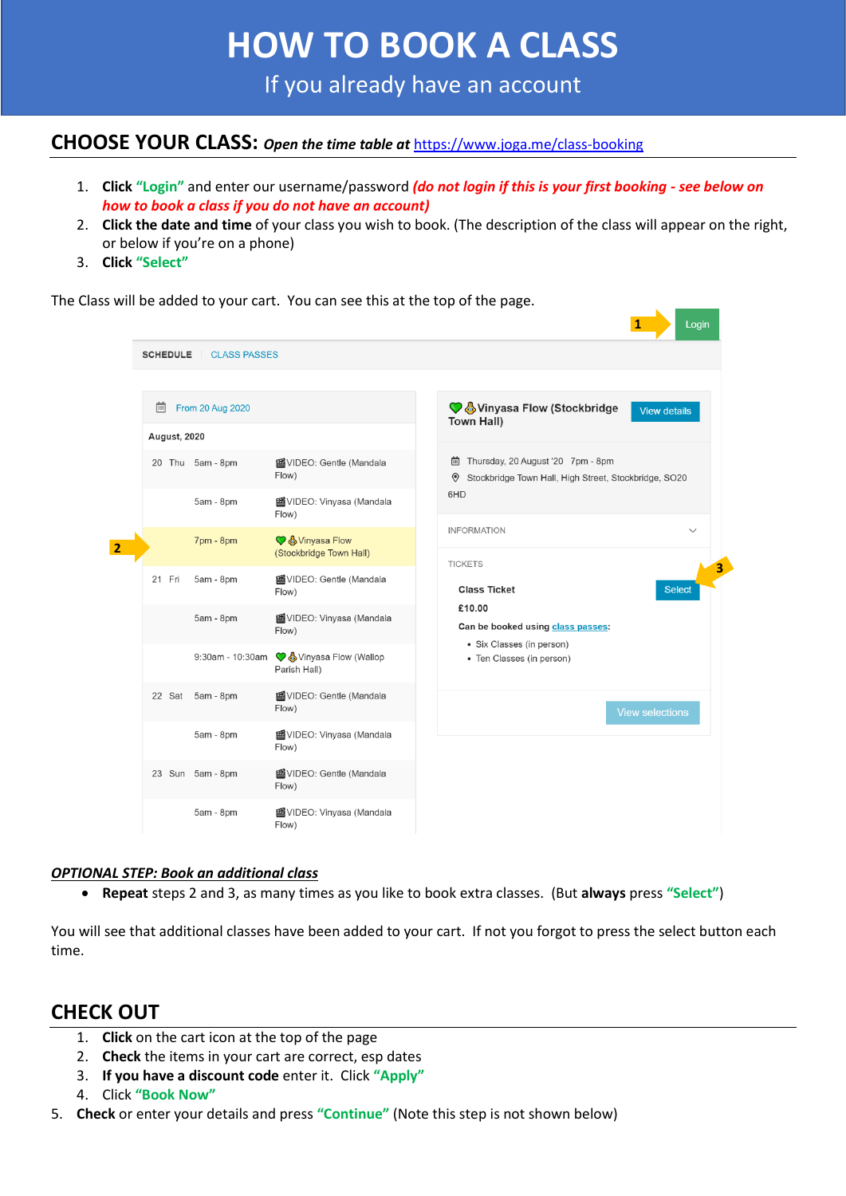# **HOW TO BOOK A CLASS**

If you already have an account

#### **CHOOSE YOUR CLASS:** *Open the time table at* <https://www.joga.me/class-booking>

- 1. **Click "Login"** and enter our username/password *(do not login if this is your first booking - see below on how to book a class if you do not have an account)*
- 2. **Click the date and time** of your class you wish to book. (The description of the class will appear on the right, or below if you're on a phone)
- 3. **Click "Select"**

Login **1 SCHEDULE** | CLASS PASSES **iii** From 20 Aug 2020 ♦ SVinyasa Flow (Stockbridge View details Town Hall) **August, 2020** in Thursday, 20 August '20 7pm - 8pm 20 Thu 5am - 8pm 图VIDEO: Gentle (Mandala Flow) Stockbridge Town Hall, High Street, Stockbridge, SO20 **GHD** 5am - 8pm 图VIDEO: Vinyasa (Mandala Flow) **INFORMATION**  $7<sub>pm</sub> - 8<sub>pm</sub>$ **C** A Vinyasa Flow **2** (Stockbridge Town Hall) **TICKETS 3**國VIDEO: Gentle (Mandala 21 Fri 5am - 8pm **Class Ticket** Select  $Flow)$ £10.00 5am - 8pm 图VIDEO: Vinyasa (Mandala Can be booked using class passes: Flow) · Six Classes (in person) 9:30am - 10:30am C & Vinyasa Flow (Wallop • Ten Classes (in person) Parish Hall) 22 Sat 5am - 8pm 函VIDEO: Gentle (Mandala Flow) 5am - 8pm 图VIDEO: Vinyasa (Mandala Flow) 图VIDEO: Gentle (Mandala 23 Sun 5am - 8pm Flow) 5am - 8pm 图VIDEO: Vinyasa (Mandala Flow)

The Class will be added to your cart. You can see this at the top of the page.

#### *OPTIONAL STEP: Book an additional class*

• **Repeat** steps 2 and 3, as many times as you like to book extra classes. (But **always** press **"Select"**)

You will see that additional classes have been added to your cart. If not you forgot to press the select button each time.

#### **CHECK OUT**

- 1. **Click** on the cart icon at the top of the page
- 2. **Check** the items in your cart are correct, esp dates
- 3. **If you have a discount code** enter it. Click **"Apply"**
- 4. Click **"Book Now"**
- 5. **Check** or enter your details and press **"Continue"** (Note this step is not shown below)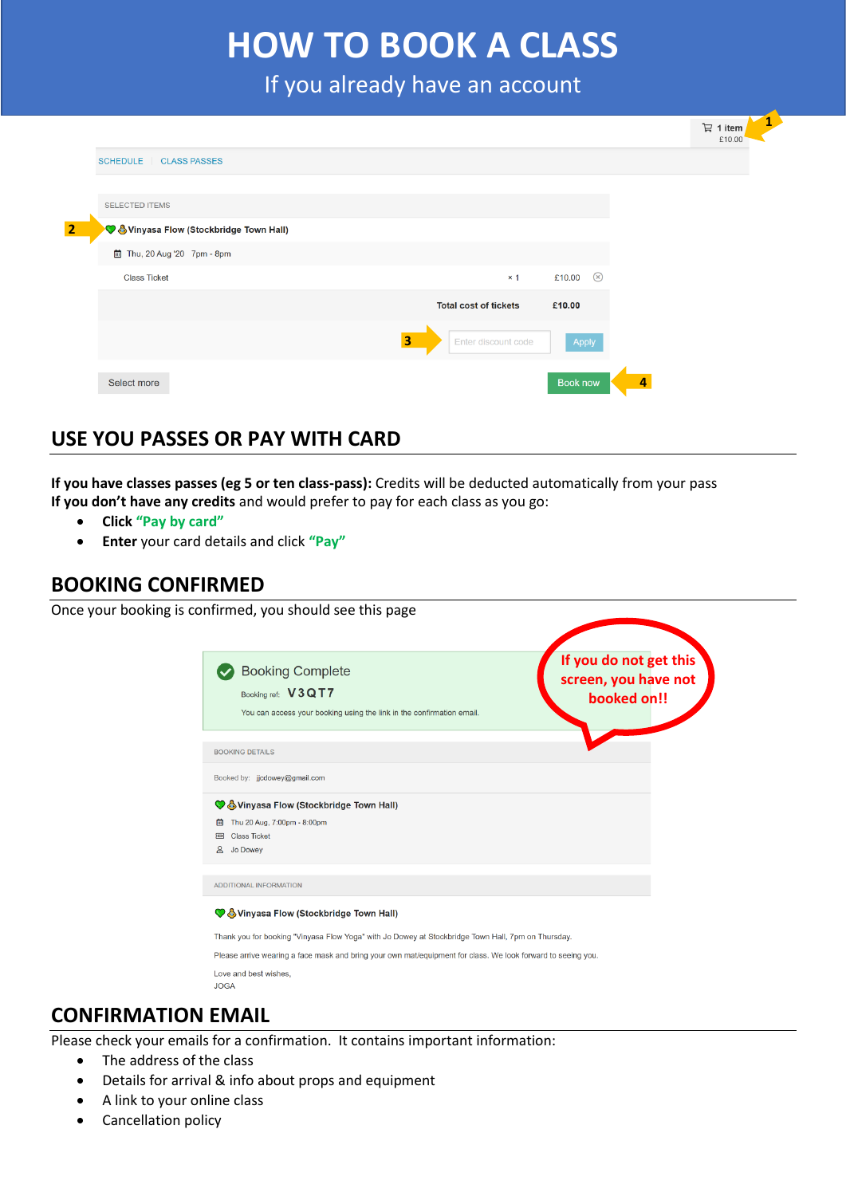## **HOW TO BOOK A CLASS**

If you already have an account

|                                                                                     |   |                              |                          |   | 급 1 item<br>£10.00 | 1 |
|-------------------------------------------------------------------------------------|---|------------------------------|--------------------------|---|--------------------|---|
| <b>SCHEDULE</b><br><b>CLASS PASSES</b>                                              |   |                              |                          |   |                    |   |
|                                                                                     |   |                              |                          |   |                    |   |
| <b>SELECTED ITEMS</b><br>$\overline{2}$<br>V & Vinyasa Flow (Stockbridge Town Hall) |   |                              |                          |   |                    |   |
| 茴 Thu, 20 Aug '20 7pm - 8pm                                                         |   |                              |                          |   |                    |   |
| <b>Class Ticket</b>                                                                 |   | $\times$ 1                   | $\circledcirc$<br>£10.00 |   |                    |   |
|                                                                                     |   | <b>Total cost of tickets</b> | £10.00                   |   |                    |   |
|                                                                                     | 3 | Enter discount code          | Apply                    |   |                    |   |
| Select more                                                                         |   |                              | Book now                 | 4 |                    |   |

### **USE YOU PASSES OR PAY WITH CARD**

**If you have classes passes (eg 5 or ten class-pass):** Credits will be deducted automatically from your pass **If you don't have any credits** and would prefer to pay for each class as you go:

- **Click "Pay by card"**
- **Enter** your card details and click **"Pay"**

#### **BOOKING CONFIRMED**

Once your booking is confirmed, you should see this page

| booked on!!<br>You can access your booking using the link in the confirmation email.<br><b>BOOKING DETAILS</b><br>Vinyasa Flow (Stockbridge Town Hall)<br>Thu 20 Aug, 7:00pm - 8:00pm<br>曲<br><b>Class Ticket</b><br>☎<br>്ട<br>Jo Dowey<br>Thank you for booking "Vinyasa Flow Yoga" with Jo Dowey at Stockbridge Town Hall, 7pm on Thursday.<br>Please arrive wearing a face mask and bring your own mat/equipment for class. We look forward to seeing you. | <b>Booking Complete</b>              | If you do not get this<br>screen, you have not |
|----------------------------------------------------------------------------------------------------------------------------------------------------------------------------------------------------------------------------------------------------------------------------------------------------------------------------------------------------------------------------------------------------------------------------------------------------------------|--------------------------------------|------------------------------------------------|
|                                                                                                                                                                                                                                                                                                                                                                                                                                                                | Booking ref: V3QT7                   |                                                |
|                                                                                                                                                                                                                                                                                                                                                                                                                                                                |                                      |                                                |
|                                                                                                                                                                                                                                                                                                                                                                                                                                                                |                                      |                                                |
|                                                                                                                                                                                                                                                                                                                                                                                                                                                                | Booked by: jjcdowey@gmail.com        |                                                |
|                                                                                                                                                                                                                                                                                                                                                                                                                                                                |                                      |                                                |
|                                                                                                                                                                                                                                                                                                                                                                                                                                                                |                                      |                                                |
|                                                                                                                                                                                                                                                                                                                                                                                                                                                                |                                      |                                                |
|                                                                                                                                                                                                                                                                                                                                                                                                                                                                |                                      |                                                |
|                                                                                                                                                                                                                                                                                                                                                                                                                                                                | ADDITIONAL INFORMATION               |                                                |
|                                                                                                                                                                                                                                                                                                                                                                                                                                                                | Vinyasa Flow (Stockbridge Town Hall) |                                                |
|                                                                                                                                                                                                                                                                                                                                                                                                                                                                |                                      |                                                |
|                                                                                                                                                                                                                                                                                                                                                                                                                                                                |                                      |                                                |
|                                                                                                                                                                                                                                                                                                                                                                                                                                                                | Love and best wishes,                |                                                |

#### **CONFIRMATION EMAIL**

Please check your emails for a confirmation. It contains important information:

- The address of the class
- Details for arrival & info about props and equipment
- A link to your online class
- Cancellation policy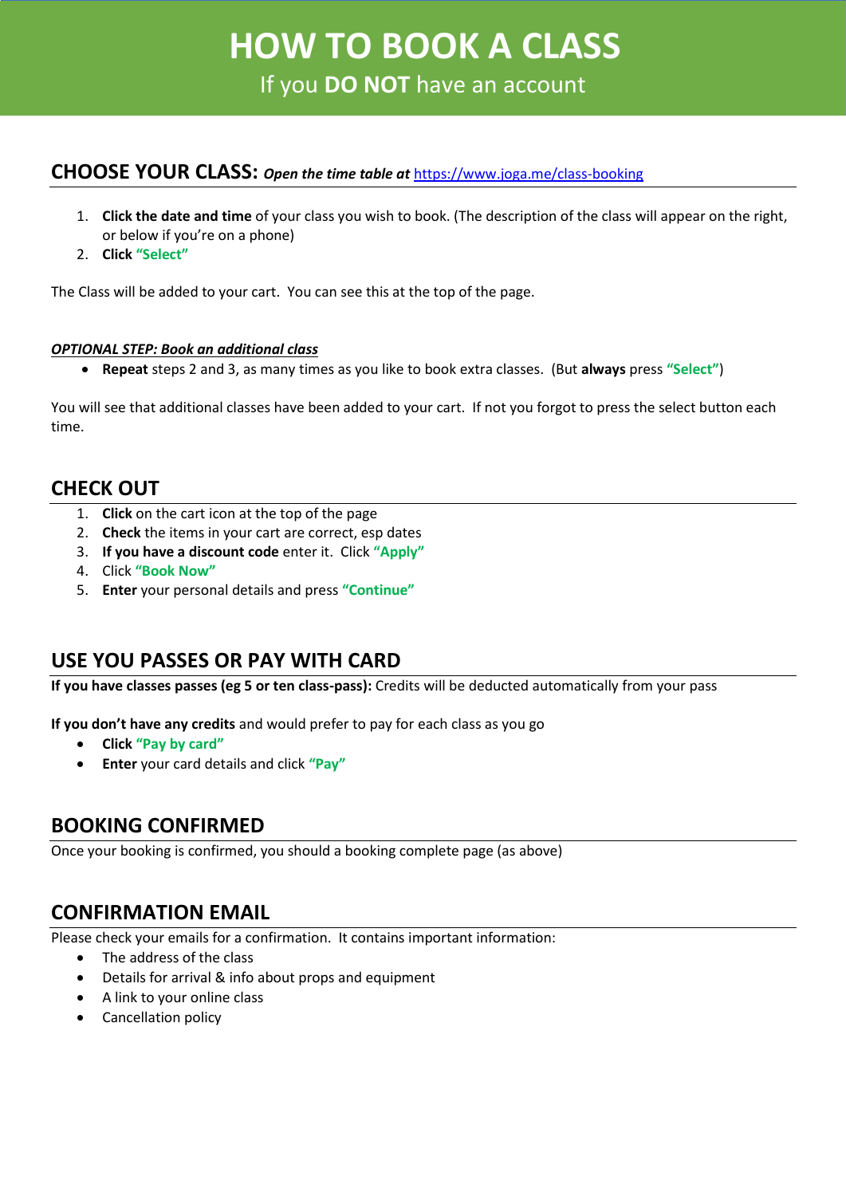# **HOW TO BOOK A CLASS HOW TO BOOK A CLASS**

If you **DO NOT** have an account

#### **CHOOSE YOUR CLASS:** *Open the time table at* <https://www.joga.me/class-booking>

- 1. **Click the date and time** of your class you wish to book. (The description of the class will appear on the right, or below if you're on a phone)
- 2. **Click "Select"**

The Class will be added to your cart. You can see this at the top of the page.

#### *OPTIONAL STEP: Book an additional class*

• **Repeat** steps 2 and 3, as many times as you like to book extra classes. (But **always** press **"Select"**)

You will see that additional classes have been added to your cart. If not you forgot to press the select button each time.

#### **CHECK OUT**

- 1. **Click** on the cart icon at the top of the page
- 2. **Check** the items in your cart are correct, esp dates
- 3. **If you have a discount code** enter it. Click **"Apply"**
- 4. Click **"Book Now"**
- 5. **Enter** your personal details and press **"Continue"**

#### **USE YOU PASSES OR PAY WITH CARD**

**If you have classes passes (eg 5 or ten class-pass):** Credits will be deducted automatically from your pass

**If you don't have any credits** and would prefer to pay for each class as you go

- **Click "Pay by card"**
- **Enter** your card details and click **"Pay"**

#### **BOOKING CONFIRMED**

Once your booking is confirmed, you should a booking complete page (as above)

#### **CONFIRMATION EMAIL**

Please check your emails for a confirmation. It contains important information:

- The address of the class
- Details for arrival & info about props and equipment
- A link to your online class
- Cancellation policy